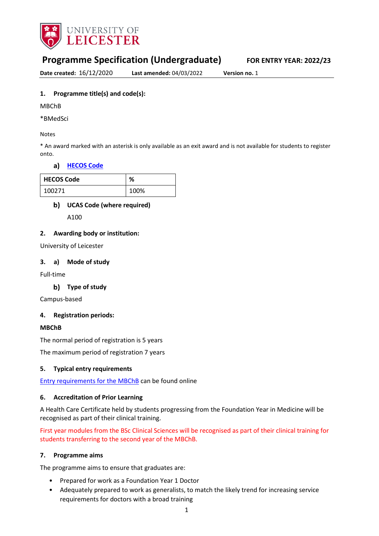

# **Programme Specification (Undergraduate) FOR ENTRY YEAR: 2022/23**

**Date created:** 16/12/2020 **Last amended:** 04/03/2022 **Version no.** 1

# **1. Programme title(s) and code(s):**

MBChB

\*BMedSci

#### Notes

\* An award marked with an asterisk is only available as an exit award and is not available for students to register onto.

# **[HECOS Code](https://www.hesa.ac.uk/innovation/hecos)**

| <b>HECOS Code</b> | %    |  |  |  |  |
|-------------------|------|--|--|--|--|
| 100271            | 100% |  |  |  |  |

# **UCAS Code (where required)**

A100

## **2. Awarding body or institution:**

University of Leicester

## **3. a) Mode of study**

Full-time

# **Type of study**

Campus-based

# **4. Registration periods:**

# **MBChB**

The normal period of registration is 5 years

The maximum period of registration 7 years

#### **5. Typical entry requirements**

[Entry requirements for the MBChB](https://le.ac.uk/medicine/study/mbchb/entry-requirements) can be found online

# **6. Accreditation of Prior Learning**

A Health Care Certificate held by students progressing from the Foundation Year in Medicine will be recognised as part of their clinical training.

First year modules from the BSc Clinical Sciences will be recognised as part of their clinical training for students transferring to the second year of the MBChB.

#### **7. Programme aims**

The programme aims to ensure that graduates are:

- Prepared for work as a Foundation Year 1 Doctor
- Adequately prepared to work as generalists, to match the likely trend for increasing service requirements for doctors with a broad training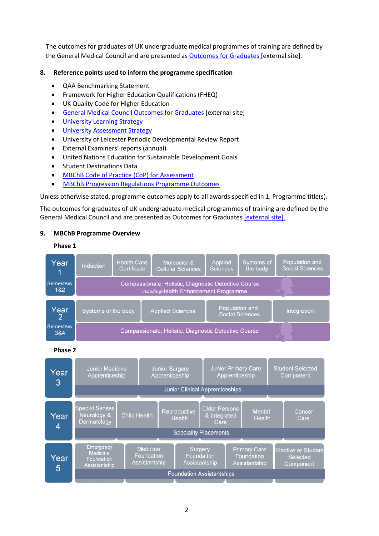The outcomes for graduates of UK undergraduate medical programmes of training are defined by the General Medical Council and are presented as Outcomes for Graduates [external site].

# **8. Reference points used to inform the programme specification**

- QAA Benchmarking Statement
- Framework for Higher Education Qualifications (FHEQ)
- UK Quality Code for Higher Education
- [General Medical Council Outcomes for Graduates](https://www.gmc-uk.org/education/standards-guidance-and-curricula/standards-and-outcomes/outcomes-for-graduates/outcomes-for-graduates) [external site]
- **University Learning [Strategy](https://www2.le.ac.uk/offices/sas2/quality/learnteach)**
- [University Assessment Strategy](https://www2.le.ac.uk/offices/sas2/quality/learnteach)
- University of Leicester Periodic Developmental Review Report
- External Examiners' reports (annual)
- United Nations Education for Sustainable Development Goals
- Student Destinations Data
- [MBChB Code of Practice \(CoP\) for Assessment](https://blackboard.le.ac.uk/bbcswebdav/xid-4835818_2)
- [MBChB Progression Regulations Programme Outcomes](https://blackboard.le.ac.uk/bbcswebdav/xid-4540393_2)

Unless otherwise stated, programme outcomes apply to all awards specified in 1. Programme title(s).

The outcomes for graduates of UK undergraduate medical programmes of training are defined by the General Medical Council and are presented as Outcomes for Graduates [external site].

## **9. MBChB Programme Overview**





**Phase 2**

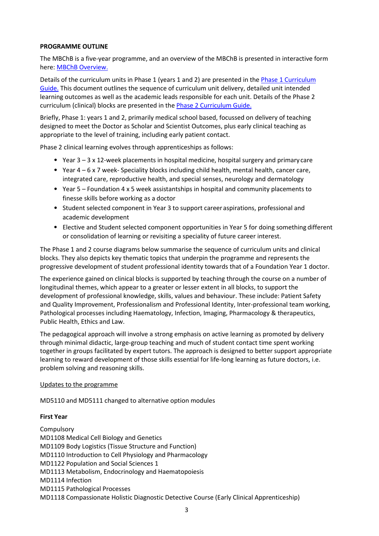## **PROGRAMME OUTLINE**

The MBChB is a five-year programme, and an overview of the MBChB is presented in interactive form here: [MBChB Overview.](https://blackboard.le.ac.uk/bbcswebdav/courses/MEX009/curriculum/curriculum/)

Details of the curriculum units in Phase 1 (years 1 and 2) are presented in the Phase 1 Curriculum [Guide.](https://blackboard.le.ac.uk/bbcswebdav/xid-8109918_2) This document outlines the sequence of curriculum unit delivery, detailed unit intended learning outcomes as well as the academic leads responsible for each unit. Details of the Phase 2 curriculum (clinical) blocks are presented in the **Phase 2 Curriculum Guide.** 

Briefly, Phase 1: years 1 and 2, primarily medical school based, focussed on delivery of teaching designed to meet the Doctor as Scholar and Scientist Outcomes, plus early clinical teaching as appropriate to the level of training, including early patient contact.

Phase 2 clinical learning evolves through apprenticeships as follows:

- Year 3 3 x 12-week placements in hospital medicine, hospital surgery and primary care
- Year 4 6 x 7 week- Speciality blocks including child health, mental health, cancer care, integrated care, reproductive health, and special senses, neurology and dermatology
- Year 5 Foundation 4 x 5 week assistantships in hospital and community placements to finesse skills before working as a doctor
- Student selected component in Year 3 to support career aspirations, professional and academic development
- Elective and Student selected component opportunities in Year 5 for doing something different or consolidation of learning or revisiting a speciality of future career interest.

The Phase 1 and 2 course diagrams below summarise the sequence of curriculum units and clinical blocks. They also depicts key thematic topics that underpin the programme and represents the progressive development of student professional identity towards that of a Foundation Year 1 doctor.

The experience gained on clinical blocks is supported by teaching through the course on a number of longitudinal themes, which appear to a greater or lesser extent in all blocks, to support the development of professional knowledge, skills, values and behaviour. These include: Patient Safety and Quality Improvement, Professionalism and Professional Identity, Inter-professional team working, Pathological processes including Haematology, Infection, Imaging, Pharmacology & therapeutics, Public Health, Ethics and Law.

The pedagogical approach will involve a strong emphasis on active learning as promoted by delivery through minimal didactic, large-group teaching and much of student contact time spent working together in groups facilitated by expert tutors. The approach is designed to better support appropriate learning to reward development of those skills essential for life-long learning as future doctors, i.e. problem solving and reasoning skills.

### Updates to the programme

MD5110 and MD5111 changed to alternative option modules

#### **First Year**

**Compulsory** MD1108 Medical Cell Biology and Genetics MD1109 Body Logistics (Tissue Structure and Function) MD1110 Introduction to Cell Physiology and Pharmacology MD1122 Population and Social Sciences 1 MD1113 Metabolism, Endocrinology and Haematopoiesis MD1114 Infection MD1115 Pathological Processes MD1118 Compassionate Holistic Diagnostic Detective Course (Early Clinical Apprenticeship)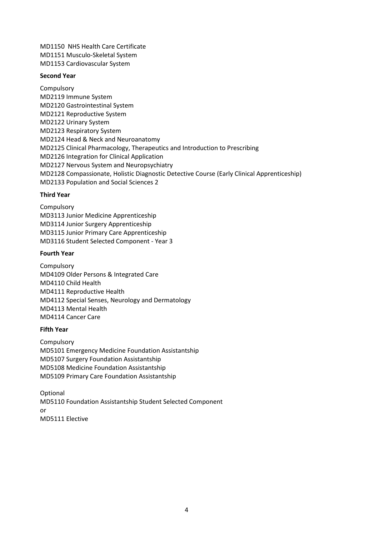MD1150 NHS Health Care Certificate MD1151 Musculo-Skeletal System MD1153 Cardiovascular System

#### **Second Year**

Compulsory MD2119 Immune System MD2120 Gastrointestinal System MD2121 Reproductive System MD2122 Urinary System MD2123 Respiratory System MD2124 Head & Neck and Neuroanatomy MD2125 Clinical Pharmacology, Therapeutics and Introduction to Prescribing MD2126 Integration for Clinical Application MD2127 Nervous System and Neuropsychiatry MD2128 Compassionate, Holistic Diagnostic Detective Course (Early Clinical Apprenticeship) MD2133 Population and Social Sciences 2

#### **Third Year**

Compulsory MD3113 Junior Medicine Apprenticeship MD3114 Junior Surgery Apprenticeship MD3115 Junior Primary Care Apprenticeship MD3116 Student Selected Component - Year 3

#### **Fourth Year**

**Compulsory** MD4109 Older Persons & Integrated Care MD4110 Child Health MD4111 Reproductive Health MD4112 Special Senses, Neurology and Dermatology MD4113 Mental Health MD4114 Cancer Care

#### **Fifth Year**

Compulsory MD5101 Emergency Medicine Foundation Assistantship MD5107 Surgery Foundation Assistantship MD5108 Medicine Foundation Assistantship MD5109 Primary Care Foundation Assistantship

Optional MD5110 Foundation Assistantship Student Selected Component or MD5111 Elective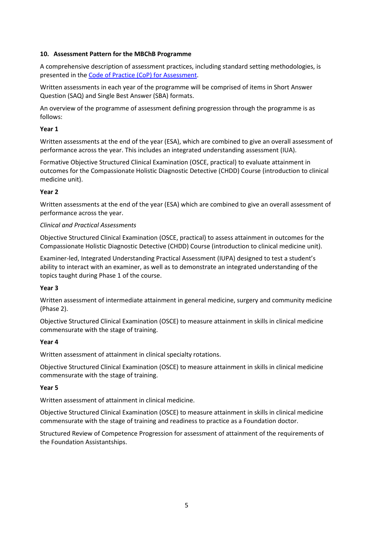# **10. Assessment Pattern for the MBChB Programme**

A comprehensive description of assessment practices, including standard setting methodologies, is presented in the [Code of Practice \(CoP\) for Assessment.](https://blackboard.le.ac.uk/bbcswebdav/xid-4835818_2)

Written assessments in each year of the programme will be comprised of items in Short Answer Question (SAQ) and Single Best Answer (SBA) formats.

An overview of the programme of assessment defining progression through the programme is as follows:

#### **Year 1**

Written assessments at the end of the year (ESA), which are combined to give an overall assessment of performance across the year. This includes an integrated understanding assessment (IUA).

Formative Objective Structured Clinical Examination (OSCE, practical) to evaluate attainment in outcomes for the Compassionate Holistic Diagnostic Detective (CHDD) Course (introduction to clinical medicine unit).

## **Year 2**

Written assessments at the end of the year (ESA) which are combined to give an overall assessment of performance across the year.

## *Clinical and Practical Assessments*

Objective Structured Clinical Examination (OSCE, practical) to assess attainment in outcomes for the Compassionate Holistic Diagnostic Detective (CHDD) Course (introduction to clinical medicine unit).

Examiner-led, Integrated Understanding Practical Assessment (IUPA) designed to test a student's ability to interact with an examiner, as well as to demonstrate an integrated understanding of the topics taught during Phase 1 of the course.

# **Year 3**

Written assessment of intermediate attainment in general medicine, surgery and community medicine (Phase 2).

Objective Structured Clinical Examination (OSCE) to measure attainment in skills in clinical medicine commensurate with the stage of training.

#### **Year 4**

Written assessment of attainment in clinical specialty rotations.

Objective Structured Clinical Examination (OSCE) to measure attainment in skills in clinical medicine commensurate with the stage of training.

#### **Year 5**

Written assessment of attainment in clinical medicine.

Objective Structured Clinical Examination (OSCE) to measure attainment in skills in clinical medicine commensurate with the stage of training and readiness to practice as a Foundation doctor.

Structured Review of Competence Progression for assessment of attainment of the requirements of the Foundation Assistantships.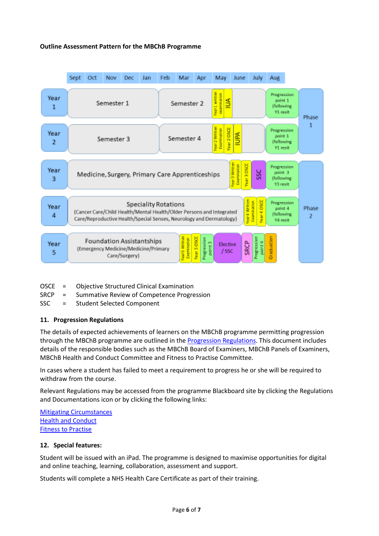## **Outline Assessment Pattern for the MBChB Programme**

|           | Sept                                                                                                                                                                                                                                                                      | Oct | Nov        | Dec | Jan | Feb                         | Mar        | Apr               | May                                          | June        | July                                              | Aug                                               |            |  |
|-----------|---------------------------------------------------------------------------------------------------------------------------------------------------------------------------------------------------------------------------------------------------------------------------|-----|------------|-----|-----|-----------------------------|------------|-------------------|----------------------------------------------|-------------|---------------------------------------------------|---------------------------------------------------|------------|--|
| Year<br>1 | Semester 1                                                                                                                                                                                                                                                                |     |            |     |     | Year1 writter<br>Semester 2 |            | caramination<br>₿ |                                              |             | Progression<br>point 1<br>(following)<br>Y1 resit |                                                   | Phase      |  |
| Year<br>2 |                                                                                                                                                                                                                                                                           |     | Semester 3 |     |     |                             | Semester 4 |                   | Year 2 Written<br>Examination<br>Year 2 DSCE | <b>Addu</b> |                                                   | Progression<br>point 1<br>(following)<br>Y1 resit | 1          |  |
| Year<br>3 | Year 3 Written<br>Examination<br>fear 3 050E<br>Progression<br><b>SSC</b><br>point 3<br>Medicine, Surgery, Primary Care Apprenticeships<br>(following<br>Y3 resit                                                                                                         |     |            |     |     |                             |            |                   |                                              |             |                                                   |                                                   |            |  |
| Year<br>4 | fear 4 DSCE<br>Examination<br>car4 Write<br>Progression<br>Speciality Rotations<br>point 4<br>(Cancer Care/Child Health/Mental Health/Older Persons and Integrated<br><b>Hollowing</b><br>Care/Reproductive Health/Special Senses, Neurology and Dermatology)<br>Y4 resit |     |            |     |     |                             |            |                   |                                              |             |                                                   |                                                   | Phase<br>2 |  |
| Year<br>5 | Graduation<br>rear 5 Written<br>Year 5 050E<br>Progression<br>Progression<br>point 5<br>Examination<br><b>Foundation Assistantships</b><br>point 6<br><b>SRCP</b><br>Elective<br>(Emergency Medicine/Medicine/Primary<br>/ SSC<br>Care/Surgery)                           |     |            |     |     |                             |            |                   |                                              |             |                                                   |                                                   |            |  |

- OSCE = Objective Structured Clinical Examination
- SRCP = Summative Review of Competence Progression
- SSC = Student Selected Component

#### **11. Progression Regulations**

The details of expected achievements of learners on the MBChB programme permitting progression through the MBChB programme are outlined in th[e Progression Regulations.](https://blackboard.le.ac.uk/bbcswebdav/xid-4540393_2) This document includes details of the responsible bodies such as the MBChB Board of Examiners, MBChB Panels of Examiners, MBChB Health and Conduct Committee and Fitness to Practise Committee.

In cases where a student has failed to meet a requirement to progress he or she will be required to withdraw from the course.

Relevant Regulations may be accessed from the programme Blackboard site by clicking the Regulations and Documentations icon or by clicking the following links:

[Mitigating Circumstances](https://www2.le.ac.uk/offices/sas2/regulations/mitigating-circumstances) [Health and Conduct](https://blackboard.le.ac.uk/bbcswebdav/xid-4914561_2) [Fitness to Practise](https://blackboard.le.ac.uk/bbcswebdav/xid-4878777_2)

#### **12. Special features:**

Student will be issued with an iPad. The programme is designed to maximise opportunities for digital and online teaching, learning, collaboration, assessment and support.

Students will complete a NHS Health Care Certificate as part of their training.